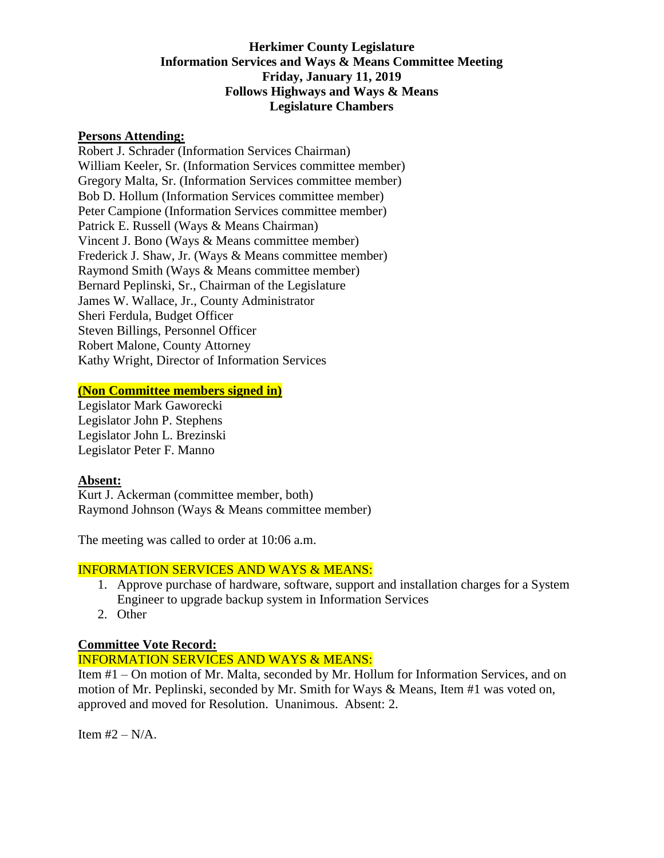# **Herkimer County Legislature Information Services and Ways & Means Committee Meeting Friday, January 11, 2019 Follows Highways and Ways & Means Legislature Chambers**

### **Persons Attending:**

Robert J. Schrader (Information Services Chairman) William Keeler, Sr. (Information Services committee member) Gregory Malta, Sr. (Information Services committee member) Bob D. Hollum (Information Services committee member) Peter Campione (Information Services committee member) Patrick E. Russell (Ways & Means Chairman) Vincent J. Bono (Ways & Means committee member) Frederick J. Shaw, Jr. (Ways & Means committee member) Raymond Smith (Ways & Means committee member) Bernard Peplinski, Sr., Chairman of the Legislature James W. Wallace, Jr., County Administrator Sheri Ferdula, Budget Officer Steven Billings, Personnel Officer Robert Malone, County Attorney Kathy Wright, Director of Information Services

#### **(Non Committee members signed in)**

Legislator Mark Gaworecki Legislator John P. Stephens Legislator John L. Brezinski Legislator Peter F. Manno

### **Absent:**

Kurt J. Ackerman (committee member, both) Raymond Johnson (Ways & Means committee member)

The meeting was called to order at 10:06 a.m.

#### INFORMATION SERVICES AND WAYS & MEANS:

- 1. Approve purchase of hardware, software, support and installation charges for a System Engineer to upgrade backup system in Information Services
- 2. Other

## **Committee Vote Record:**

### INFORMATION SERVICES AND WAYS & MEANS:

Item #1 – On motion of Mr. Malta, seconded by Mr. Hollum for Information Services, and on motion of Mr. Peplinski, seconded by Mr. Smith for Ways & Means, Item #1 was voted on, approved and moved for Resolution. Unanimous. Absent: 2.

Item  $#2 - N/A$ .